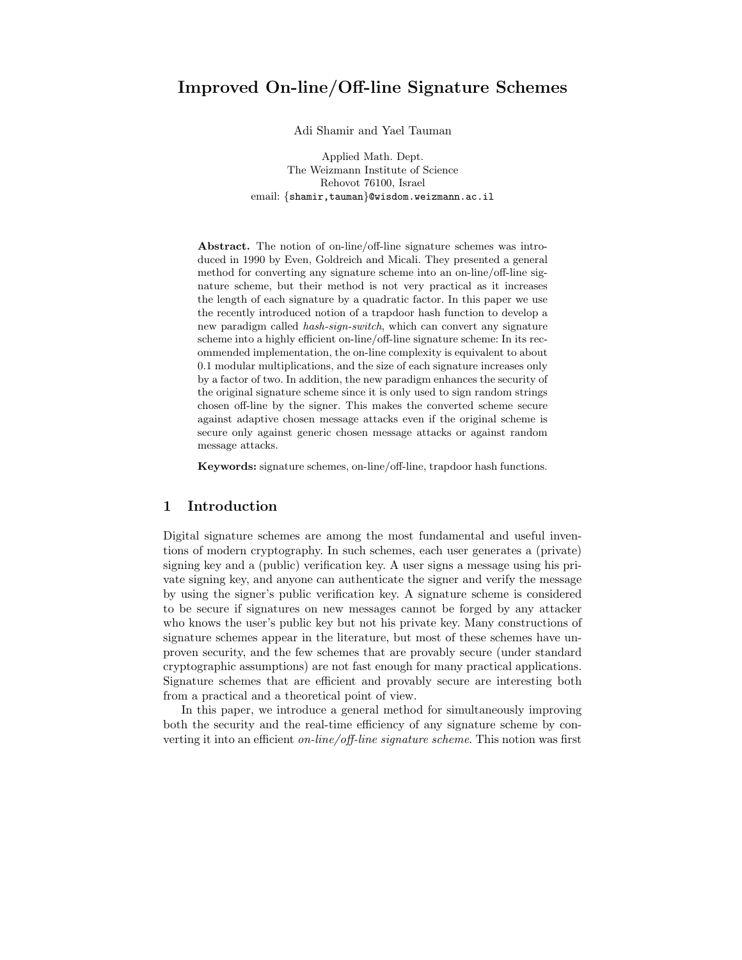# Improved On-line/Off-line Signature Schemes

Adi Shamir and Yael Tauman

Applied Math. Dept. The Weizmann Institute of Science Rehovot 76100, Israel email: {shamir,tauman}@wisdom.weizmann.ac.il

Abstract. The notion of on-line/off-line signature schemes was introduced in 1990 by Even, Goldreich and Micali. They presented a general method for converting any signature scheme into an on-line/off-line signature scheme, but their method is not very practical as it increases the length of each signature by a quadratic factor. In this paper we use the recently introduced notion of a trapdoor hash function to develop a new paradigm called hash-sign-switch, which can convert any signature scheme into a highly efficient on-line/off-line signature scheme: In its recommended implementation, the on-line complexity is equivalent to about 0.1 modular multiplications, and the size of each signature increases only by a factor of two. In addition, the new paradigm enhances the security of the original signature scheme since it is only used to sign random strings chosen off-line by the signer. This makes the converted scheme secure against adaptive chosen message attacks even if the original scheme is secure only against generic chosen message attacks or against random message attacks.

Keywords: signature schemes, on-line/off-line, trapdoor hash functions.

### 1 Introduction

Digital signature schemes are among the most fundamental and useful inventions of modern cryptography. In such schemes, each user generates a (private) signing key and a (public) verification key. A user signs a message using his private signing key, and anyone can authenticate the signer and verify the message by using the signer's public verification key. A signature scheme is considered to be secure if signatures on new messages cannot be forged by any attacker who knows the user's public key but not his private key. Many constructions of signature schemes appear in the literature, but most of these schemes have unproven security, and the few schemes that are provably secure (under standard cryptographic assumptions) are not fast enough for many practical applications. Signature schemes that are efficient and provably secure are interesting both from a practical and a theoretical point of view.

In this paper, we introduce a general method for simultaneously improving both the security and the real-time efficiency of any signature scheme by converting it into an efficient on-line/off-line signature scheme. This notion was first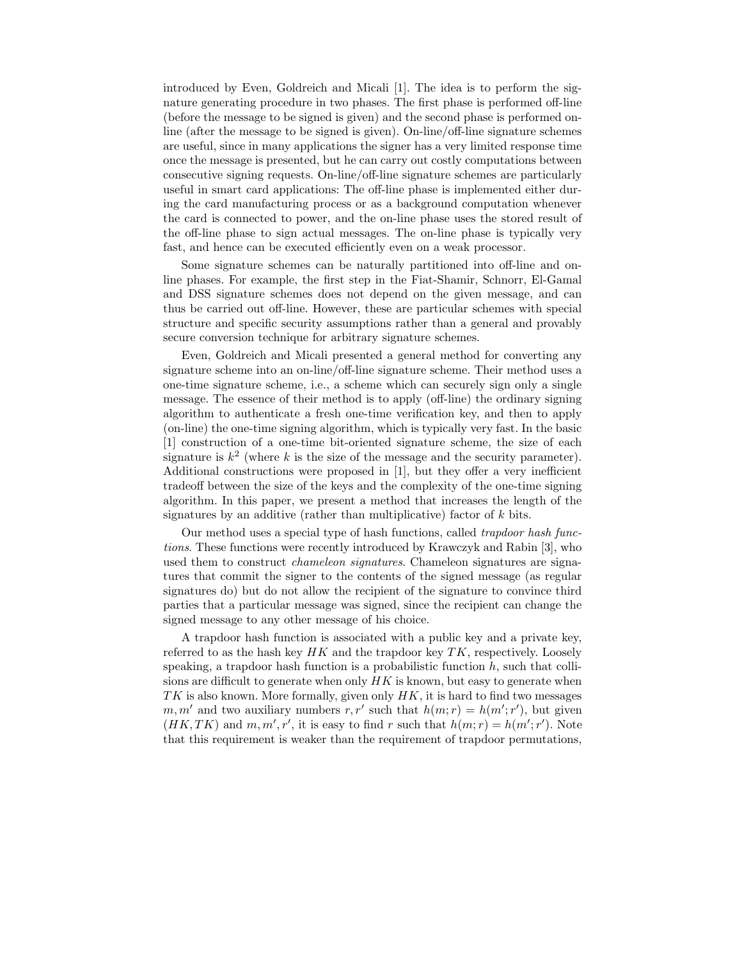introduced by Even, Goldreich and Micali [1]. The idea is to perform the signature generating procedure in two phases. The first phase is performed off-line (before the message to be signed is given) and the second phase is performed online (after the message to be signed is given). On-line/off-line signature schemes are useful, since in many applications the signer has a very limited response time once the message is presented, but he can carry out costly computations between consecutive signing requests. On-line/off-line signature schemes are particularly useful in smart card applications: The off-line phase is implemented either during the card manufacturing process or as a background computation whenever the card is connected to power, and the on-line phase uses the stored result of the off-line phase to sign actual messages. The on-line phase is typically very fast, and hence can be executed efficiently even on a weak processor.

Some signature schemes can be naturally partitioned into off-line and online phases. For example, the first step in the Fiat-Shamir, Schnorr, El-Gamal and DSS signature schemes does not depend on the given message, and can thus be carried out off-line. However, these are particular schemes with special structure and specific security assumptions rather than a general and provably secure conversion technique for arbitrary signature schemes.

Even, Goldreich and Micali presented a general method for converting any signature scheme into an on-line/off-line signature scheme. Their method uses a one-time signature scheme, i.e., a scheme which can securely sign only a single message. The essence of their method is to apply (off-line) the ordinary signing algorithm to authenticate a fresh one-time verification key, and then to apply (on-line) the one-time signing algorithm, which is typically very fast. In the basic [1] construction of a one-time bit-oriented signature scheme, the size of each signature is  $k^2$  (where k is the size of the message and the security parameter). Additional constructions were proposed in [1], but they offer a very inefficient tradeoff between the size of the keys and the complexity of the one-time signing algorithm. In this paper, we present a method that increases the length of the signatures by an additive (rather than multiplicative) factor of  $k$  bits.

Our method uses a special type of hash functions, called trapdoor hash functions. These functions were recently introduced by Krawczyk and Rabin [3], who used them to construct *chameleon signatures*. Chameleon signatures are signatures that commit the signer to the contents of the signed message (as regular signatures do) but do not allow the recipient of the signature to convince third parties that a particular message was signed, since the recipient can change the signed message to any other message of his choice.

A trapdoor hash function is associated with a public key and a private key, referred to as the hash key  $HK$  and the trapdoor key  $TK$ , respectively. Loosely speaking, a trapdoor hash function is a probabilistic function  $h$ , such that collisions are difficult to generate when only  $HK$  is known, but easy to generate when  $TK$  is also known. More formally, given only  $HK$ , it is hard to find two messages  $m, m'$  and two auxiliary numbers  $r, r'$  such that  $h(m; r) = h(m'; r')$ , but given  $(HK, TK)$  and  $m, m', r'$ , it is easy to find r such that  $h(m;r) = h(m';r')$ . Note that this requirement is weaker than the requirement of trapdoor permutations,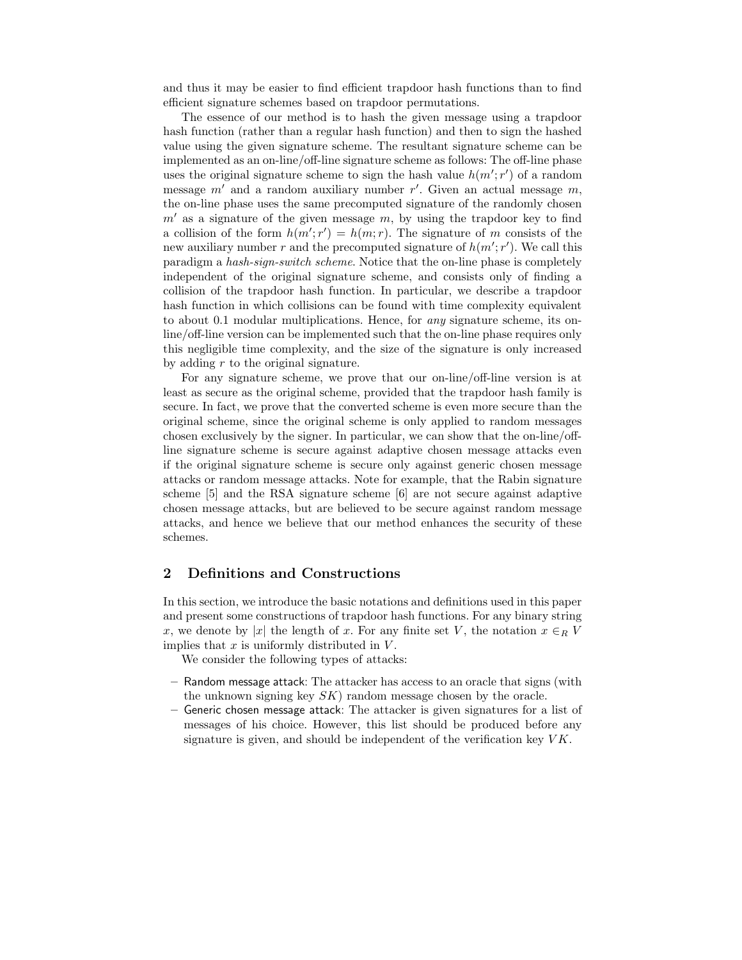and thus it may be easier to find efficient trapdoor hash functions than to find efficient signature schemes based on trapdoor permutations.

The essence of our method is to hash the given message using a trapdoor hash function (rather than a regular hash function) and then to sign the hashed value using the given signature scheme. The resultant signature scheme can be implemented as an on-line/off-line signature scheme as follows: The off-line phase uses the original signature scheme to sign the hash value  $h(m'; r')$  of a random message  $m'$  and a random auxiliary number r'. Given an actual message m, the on-line phase uses the same precomputed signature of the randomly chosen  $m'$  as a signature of the given message m, by using the trapdoor key to find a collision of the form  $h(m'; r') = h(m; r)$ . The signature of m consists of the new auxiliary number r and the precomputed signature of  $h(m'; r')$ . We call this paradigm a hash-sign-switch scheme. Notice that the on-line phase is completely independent of the original signature scheme, and consists only of finding a collision of the trapdoor hash function. In particular, we describe a trapdoor hash function in which collisions can be found with time complexity equivalent to about 0.1 modular multiplications. Hence, for any signature scheme, its online/off-line version can be implemented such that the on-line phase requires only this negligible time complexity, and the size of the signature is only increased by adding r to the original signature.

For any signature scheme, we prove that our on-line/off-line version is at least as secure as the original scheme, provided that the trapdoor hash family is secure. In fact, we prove that the converted scheme is even more secure than the original scheme, since the original scheme is only applied to random messages chosen exclusively by the signer. In particular, we can show that the on-line/offline signature scheme is secure against adaptive chosen message attacks even if the original signature scheme is secure only against generic chosen message attacks or random message attacks. Note for example, that the Rabin signature scheme [5] and the RSA signature scheme [6] are not secure against adaptive chosen message attacks, but are believed to be secure against random message attacks, and hence we believe that our method enhances the security of these schemes.

### 2 Definitions and Constructions

In this section, we introduce the basic notations and definitions used in this paper and present some constructions of trapdoor hash functions. For any binary string x, we denote by |x| the length of x. For any finite set V, the notation  $x \in_R V$ implies that  $x$  is uniformly distributed in  $V$ .

We consider the following types of attacks:

- Random message attack: The attacker has access to an oracle that signs (with the unknown signing key  $SK$ ) random message chosen by the oracle.
- Generic chosen message attack: The attacker is given signatures for a list of messages of his choice. However, this list should be produced before any signature is given, and should be independent of the verification key  $VK$ .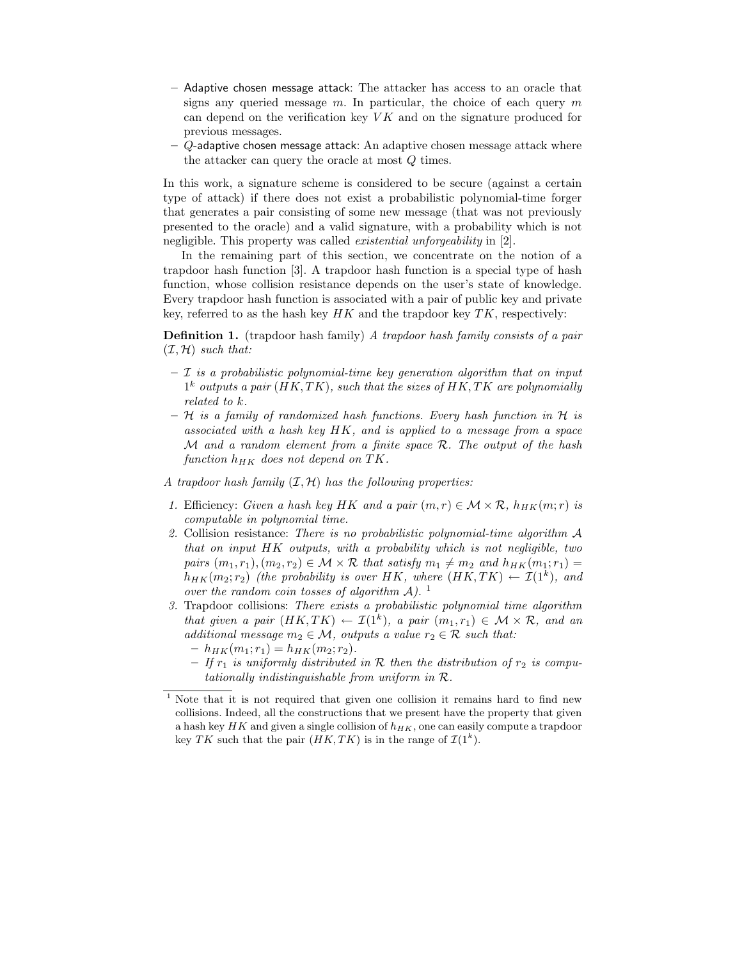- Adaptive chosen message attack: The attacker has access to an oracle that signs any queried message  $m$ . In particular, the choice of each query  $m$ can depend on the verification key  $VK$  and on the signature produced for previous messages.
- $-$  Q-adaptive chosen message attack: An adaptive chosen message attack where the attacker can query the oracle at most Q times.

In this work, a signature scheme is considered to be secure (against a certain type of attack) if there does not exist a probabilistic polynomial-time forger that generates a pair consisting of some new message (that was not previously presented to the oracle) and a valid signature, with a probability which is not negligible. This property was called existential unforgeability in [2].

In the remaining part of this section, we concentrate on the notion of a trapdoor hash function [3]. A trapdoor hash function is a special type of hash function, whose collision resistance depends on the user's state of knowledge. Every trapdoor hash function is associated with a pair of public key and private key, referred to as the hash key  $HK$  and the trapdoor key  $TK$ , respectively:

Definition 1. (trapdoor hash family) A trapdoor hash family consists of a pair  $(\mathcal{I}, \mathcal{H})$  such that:

- $-$  *T* is a probabilistic polynomial-time key generation algorithm that on input  $1^k$  outputs a pair  $(HK, TK)$ , such that the sizes of  $HK, TK$  are polynomially related to k.
- $-$  H is a family of randomized hash functions. Every hash function in H is associated with a hash key HK, and is applied to a message from a space  $M$  and a random element from a finite space  $R$ . The output of the hash function  $h_{HK}$  does not depend on TK.

A trapdoor hash family  $(\mathcal{I}, \mathcal{H})$  has the following properties:

- 1. Efficiency: Given a hash key HK and a pair  $(m, r) \in \mathcal{M} \times \mathcal{R}$ ,  $h_{HK}(m; r)$  is computable in polynomial time.
- 2. Collision resistance: There is no probabilistic polynomial-time algorithm A that on input HK outputs, with a probability which is not negligible, two pairs  $(m_1, r_1), (m_2, r_2) \in \mathcal{M} \times \mathcal{R}$  that satisfy  $m_1 \neq m_2$  and  $h_{HK}(m_1; r_1)$  $h_{HK}(m_2;r_2)$  (the probability is over HK, where  $(HK, TK) \leftarrow \mathcal{I}(1^k)$ , and over the random coin tosses of algorithm  $A$ ). <sup>1</sup>
- 3. Trapdoor collisions: There exists a probabilistic polynomial time algorithm that given a pair  $(HK, TK) \leftarrow \mathcal{I}(1^k)$ , a pair  $(m_1,r_1) \in \mathcal{M} \times \mathcal{R}$ , and an additional message  $m_2 \in \mathcal{M}$ , outputs a value  $r_2 \in \mathcal{R}$  such that:
	- $-h_{HK}(m_1; r_1) = h_{HK}(m_2; r_2).$
	- If  $r_1$  is uniformly distributed in R then the distribution of  $r_2$  is computationally indistinguishable from uniform in R.

<sup>1</sup> Note that it is not required that given one collision it remains hard to find new collisions. Indeed, all the constructions that we present have the property that given a hash key  $HK$  and given a single collision of  $h_{HK}$ , one can easily compute a trapdoor key TK such that the pair  $(HK, TK)$  is in the range of  $\mathcal{I}(1^k)$ .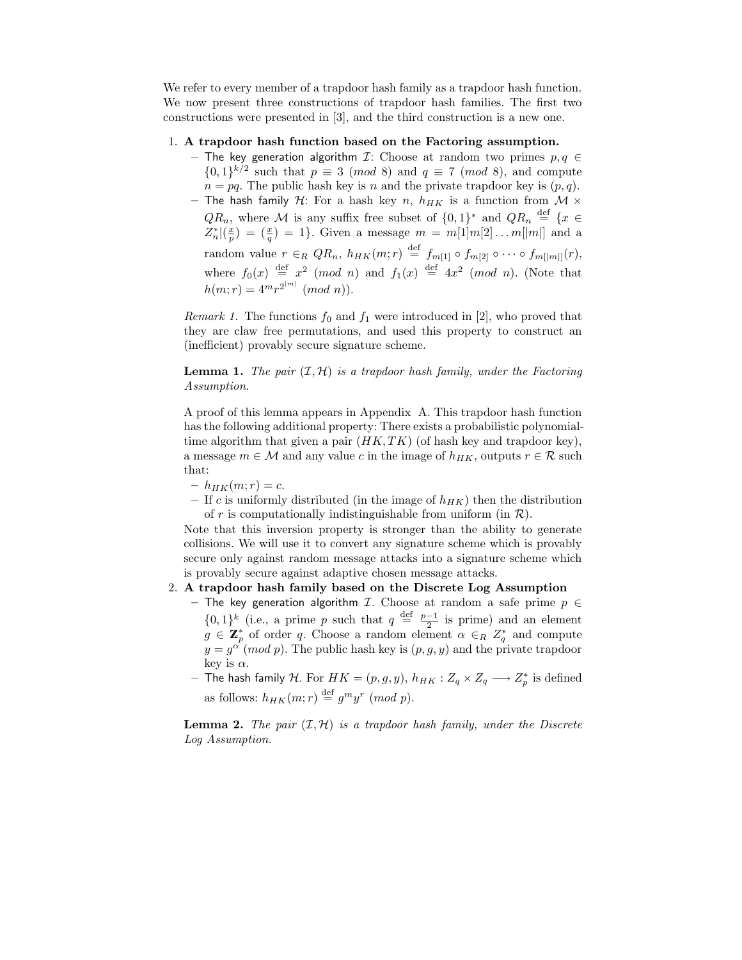We refer to every member of a trapdoor hash family as a trapdoor hash function. We now present three constructions of trapdoor hash families. The first two constructions were presented in [3], and the third construction is a new one.

#### 1. A trapdoor hash function based on the Factoring assumption.

- The key generation algorithm *I*: Choose at random two primes  $p, q \in$  $\{0,1\}^{k/2}$  such that  $p \equiv 3 \pmod{8}$  and  $q \equiv 7 \pmod{8}$ , and compute  $n = pq$ . The public hash key is n and the private trapdoor key is  $(p, q)$ .
- The hash family H: For a hash key n,  $h_{HK}$  is a function from  $M \times$  $QR_n$ , where M is any suffix free subset of  $\{0,1\}^*$  and  $QR_n \stackrel{\text{def}}{=} \{x \in$  $Z_n^*$  $\left(\frac{x}{p}\right) = \left(\frac{x}{q}\right) = 1$ . Given a message  $m = m[1]m[2] \ldots m[|m|]$  and a random value  $r \in_R QR_n$ ,  $h_{HK}(m;r) \stackrel{\text{def}}{=} f_{m[1]} \circ f_{m[2]} \circ \cdots \circ f_{m[|m|]}(r)$ , where  $f_0(x) \stackrel{\text{def}}{=} x^2 \pmod{n}$  and  $f_1(x) \stackrel{\text{def}}{=} 4x^2 \pmod{n}$ . (Note that  $h(m;r) = 4^m r^{2^{|m|}} \pmod{n}.$

*Remark 1.* The functions  $f_0$  and  $f_1$  were introduced in [2], who proved that they are claw free permutations, and used this property to construct an (inefficient) provably secure signature scheme.

**Lemma 1.** The pair  $(\mathcal{I}, \mathcal{H})$  is a trapdoor hash family, under the Factoring Assumption.

A proof of this lemma appears in Appendix A. This trapdoor hash function has the following additional property: There exists a probabilistic polynomialtime algorithm that given a pair  $(HK, TK)$  (of hash key and trapdoor key), a message  $m \in \mathcal{M}$  and any value c in the image of  $h_{HK}$ , outputs  $r \in \mathcal{R}$  such that:

- $h_{HK}(m; r) = c.$
- If c is uniformly distributed (in the image of  $h_{HK}$ ) then the distribution of r is computationally indistinguishable from uniform (in  $\mathcal{R}$ ).

Note that this inversion property is stronger than the ability to generate collisions. We will use it to convert any signature scheme which is provably secure only against random message attacks into a signature scheme which is provably secure against adaptive chosen message attacks.

### 2. A trapdoor hash family based on the Discrete Log Assumption

- The key generation algorithm *I*. Choose at random a safe prime  $p \in$  ${0,1}^k$  (i.e., a prime p such that  $q \stackrel{\text{def}}{=} \frac{p-1}{2}$  is prime) and an element  $g \in \mathbb{Z}_p^*$  of order q. Choose a random element  $\alpha \in_R Z_q^*$  and compute  $y = g^{\alpha'} \pmod{p}$ . The public hash key is  $(p, g, y)$  and the private trapdoor key is  $\alpha$ .
- $-$  The hash family  $\mathcal{H}$ . For  $HK = (p,g,y),$   $h_{HK} : Z_q \times Z_q \longrightarrow Z_p^*$  is defined as follows:  $h_{HK}(m;r) \stackrel{\text{def}}{=} g^m y^r \pmod{p}$ .

**Lemma 2.** The pair  $(\mathcal{I}, \mathcal{H})$  is a trapdoor hash family, under the Discrete Log Assumption.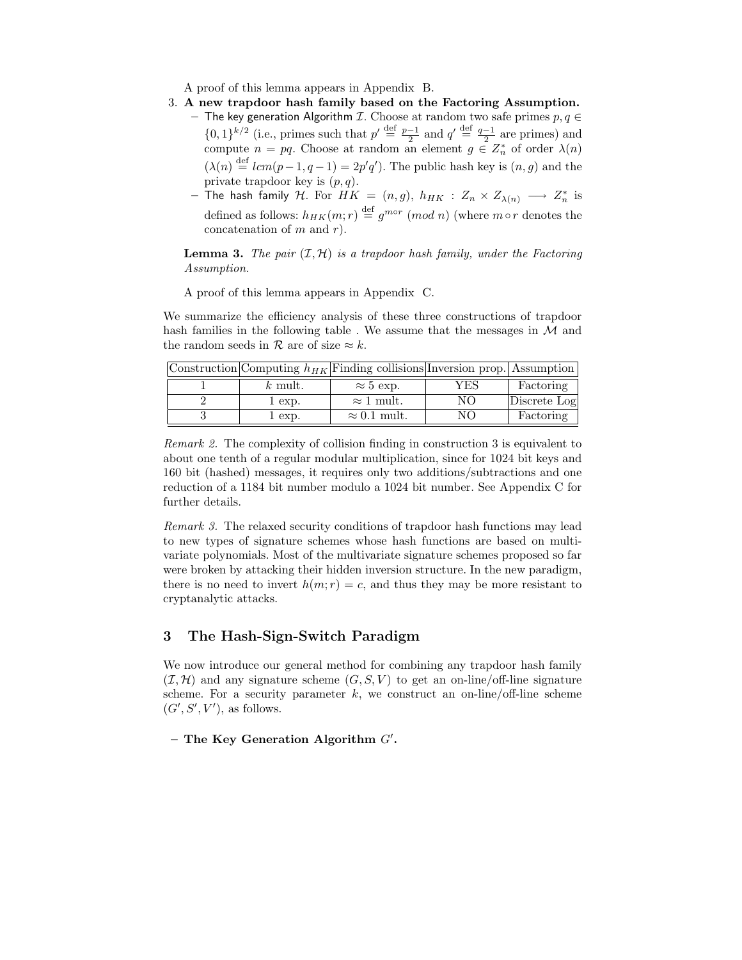A proof of this lemma appears in Appendix B.

- 3. A new trapdoor hash family based on the Factoring Assumption.
	- The key generation Algorithm *I*. Choose at random two safe primes  $p, q \in$  $\{0,1\}^{k/2}$  (i.e., primes such that  $p' \stackrel{\text{def}}{=} \frac{p-1}{2}$  and  $q' \stackrel{\text{def}}{=} \frac{q-1}{2}$  are primes) and compute  $n = pq$ . Choose at random an element  $g \in Z_n^*$  of order  $\lambda(n)$  $(\lambda(n) \stackrel{\text{def}}{=} lcm(p-1, q-1) = 2p'q')$ . The public hash key is  $(n, g)$  and the private trapdoor key is  $(p, q)$ .
	- $-$  The hash family  $H$ . For  $HK = (n, g)$ ,  $h_{HK} : Z_n \times Z_{\lambda(n)} \longrightarrow Z_n^*$  is defined as follows:  $h_{HK}(m;r) \stackrel{\text{def}}{=} g^{m \circ r} (mod n)$  (where  $m \circ r$  denotes the concatenation of  $m$  and  $r$ ).

**Lemma 3.** The pair  $(\mathcal{I}, \mathcal{H})$  is a trapdoor hash family, under the Factoring Assumption.

A proof of this lemma appears in Appendix C.

We summarize the efficiency analysis of these three constructions of trapdoor hash families in the following table. We assume that the messages in  $M$  and the random seeds in R are of size  $\approx k$ .

|           | Construction Computing $h_{HK}$ Finding collisions Inversion prop. Assumption |     |              |
|-----------|-------------------------------------------------------------------------------|-----|--------------|
| $k$ mult. | $\approx 5$ exp.                                                              | YES | Factoring    |
| 1 exp.    | $\approx 1$ mult.                                                             | NΟ  | Discrete Log |
| 1 exp.    | $\approx 0.1$ mult.                                                           | NΟ  | Factoring    |

Remark 2. The complexity of collision finding in construction 3 is equivalent to about one tenth of a regular modular multiplication, since for 1024 bit keys and 160 bit (hashed) messages, it requires only two additions/subtractions and one reduction of a 1184 bit number modulo a 1024 bit number. See Appendix C for further details.

Remark 3. The relaxed security conditions of trapdoor hash functions may lead to new types of signature schemes whose hash functions are based on multivariate polynomials. Most of the multivariate signature schemes proposed so far were broken by attacking their hidden inversion structure. In the new paradigm, there is no need to invert  $h(m; r) = c$ , and thus they may be more resistant to cryptanalytic attacks.

## 3 The Hash-Sign-Switch Paradigm

We now introduce our general method for combining any trapdoor hash family  $(\mathcal{I}, \mathcal{H})$  and any signature scheme  $(G, S, V)$  to get an on-line/off-line signature scheme. For a security parameter  $k$ , we construct an on-line/off-line scheme  $(G', S', V')$ , as follows.

- The Key Generation Algorithm  $G'$ .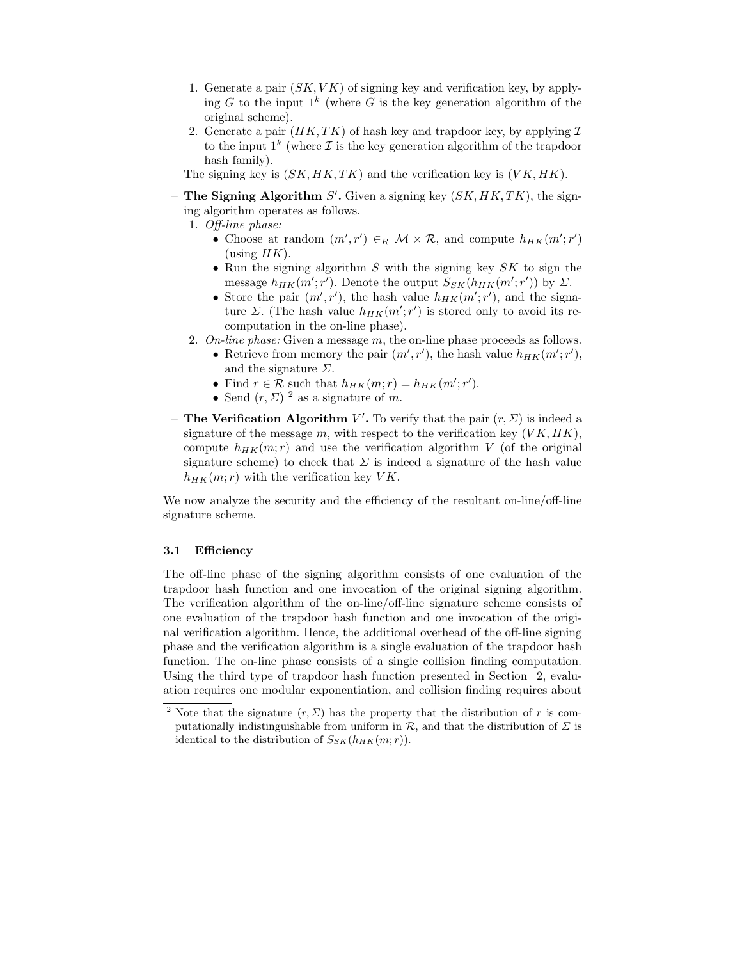- 1. Generate a pair  $(SK, VK)$  of signing key and verification key, by applying G to the input  $1^k$  (where G is the key generation algorithm of the original scheme).
- 2. Generate a pair  $(HK, TK)$  of hash key and trapdoor key, by applying  $I$ to the input  $1^k$  (where  $\mathcal I$  is the key generation algorithm of the trapdoor hash family).

The signing key is  $(SK, HK, TK)$  and the verification key is  $(VK, HK)$ .

- The Signing Algorithm  $S'$ . Given a signing key  $(SK, HK, TK)$ , the signing algorithm operates as follows.
	- 1. Off-line phase:
		- Choose at random  $(m', r') \in_R \mathcal{M} \times \mathcal{R}$ , and compute  $h_{HK}(m'; r')$ (using  $HK$ ).
		- Run the signing algorithm  $S$  with the signing key  $SK$  to sign the message  $h_{HK}(m'; r')$ . Denote the output  $S_{SK}(h_{HK}(m'; r'))$  by  $\Sigma$ .
		- Store the pair  $(m', r')$ , the hash value  $h_{HK}(m'; r')$ , and the signature  $\Sigma$ . (The hash value  $h_{HK}(m'; r')$  is stored only to avoid its recomputation in the on-line phase).
	- 2. On-line phase: Given a message  $m$ , the on-line phase proceeds as follows.
		- Retrieve from memory the pair  $(m', r')$ , the hash value  $h_{HK}(m'; r')$ , and the signature  $\Sigma$ .
		- Find  $r \in \mathcal{R}$  such that  $h_{HK}(m;r) = h_{HK}(m';r').$
		- Send  $(r, \Sigma)^2$  as a signature of m.
- The Verification Algorithm  $V'$ . To verify that the pair  $(r, \Sigma)$  is indeed a signature of the message m, with respect to the verification key  $(VK, HK)$ , compute  $h_{HK}(m; r)$  and use the verification algorithm V (of the original signature scheme) to check that  $\Sigma$  is indeed a signature of the hash value  $h_{HK}(m; r)$  with the verification key VK.

We now analyze the security and the efficiency of the resultant on-line/off-line signature scheme.

#### 3.1 Efficiency

The off-line phase of the signing algorithm consists of one evaluation of the trapdoor hash function and one invocation of the original signing algorithm. The verification algorithm of the on-line/off-line signature scheme consists of one evaluation of the trapdoor hash function and one invocation of the original verification algorithm. Hence, the additional overhead of the off-line signing phase and the verification algorithm is a single evaluation of the trapdoor hash function. The on-line phase consists of a single collision finding computation. Using the third type of trapdoor hash function presented in Section 2, evaluation requires one modular exponentiation, and collision finding requires about

<sup>&</sup>lt;sup>2</sup> Note that the signature  $(r, \Sigma)$  has the property that the distribution of r is computationally indistinguishable from uniform in  $\mathcal{R}$ , and that the distribution of  $\Sigma$  is identical to the distribution of  $S_{SK}(h_{HK}(m;r))$ .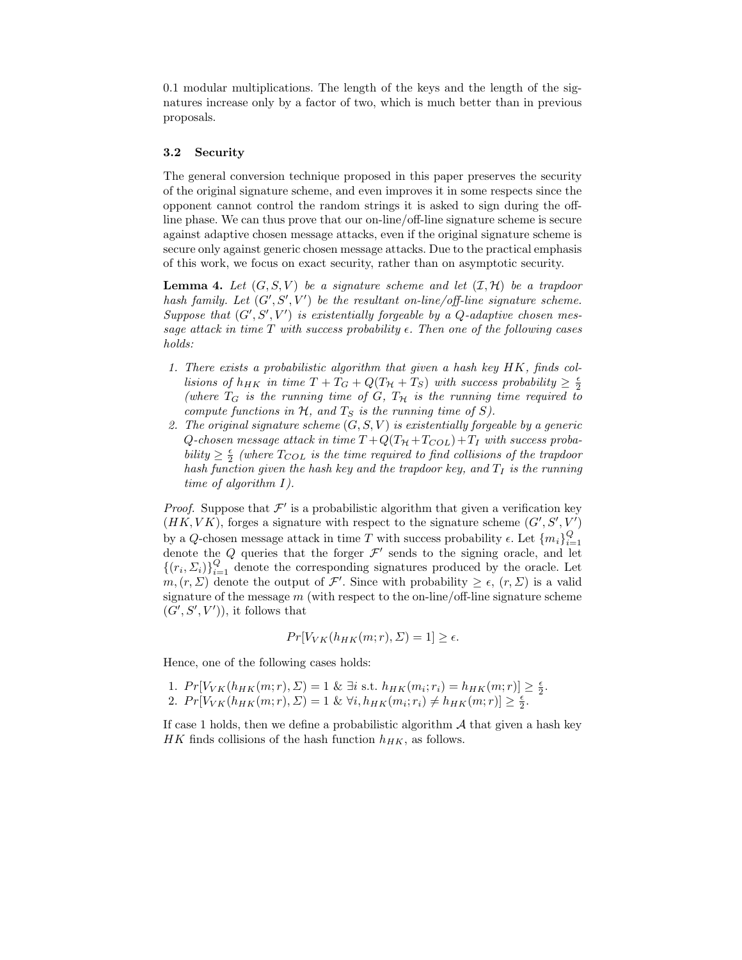0.1 modular multiplications. The length of the keys and the length of the signatures increase only by a factor of two, which is much better than in previous proposals.

#### 3.2 Security

The general conversion technique proposed in this paper preserves the security of the original signature scheme, and even improves it in some respects since the opponent cannot control the random strings it is asked to sign during the offline phase. We can thus prove that our on-line/off-line signature scheme is secure against adaptive chosen message attacks, even if the original signature scheme is secure only against generic chosen message attacks. Due to the practical emphasis of this work, we focus on exact security, rather than on asymptotic security.

**Lemma 4.** Let  $(G, S, V)$  be a signature scheme and let  $(\mathcal{I}, \mathcal{H})$  be a trapdoor hash family. Let  $(G', S', V')$  be the resultant on-line/off-line signature scheme. Suppose that  $(G', S', V')$  is existentially forgeable by a Q-adaptive chosen message attack in time  $T$  with success probability  $\epsilon$ . Then one of the following cases holds:

- 1. There exists a probabilistic algorithm that given a hash key HK, finds collisions of  $h_{HK}$  in time  $T + T_G + Q(T_H + T_S)$  with success probability  $\geq \frac{\epsilon}{2}$ (where  $T_G$  is the running time of G,  $T_H$  is the running time required to compute functions in  $H$ , and  $T<sub>S</sub>$  is the running time of S).
- 2. The original signature scheme  $(G, S, V)$  is existentially forgeable by a generic Q-chosen message attack in time  $T + Q(T_H + T_{COL}) + T_I$  with success probability  $\geq \frac{\epsilon}{2}$  (where  $T_{COL}$  is the time required to find collisions of the trapdoor hash function given the hash key and the trapdoor key, and  $T_I$  is the running time of algorithm I).

*Proof.* Suppose that  $\mathcal{F}'$  is a probabilistic algorithm that given a verification key  $(HK, VK)$ , forges a signature with respect to the signature scheme  $(G', S', V')$ by a Q-chosen message attack in time  $T$  with success probability  $\epsilon$ . Let  $\{m_i\}_{i=1}^Q$ denote the  $Q$  queries that the forger  $\mathcal{F}'$  sends to the signing oracle, and let  $\{(r_i, \Sigma_i)\}_{i=1}^Q$  denote the corresponding signatures produced by the oracle. Let  $m, (r, \Sigma)$  denote the output of  $\mathcal{F}'$ . Since with probability  $\geq \epsilon$ ,  $(r, \Sigma)$  is a valid signature of the message  $m$  (with respect to the on-line/off-line signature scheme  $(G', S', V'))$ , it follows that

$$
Pr[V_{VK}(h_{HK}(m;r), \Sigma) = 1] \ge \epsilon.
$$

Hence, one of the following cases holds:

1.  $Pr[V_{VK}(h_{HK}(m;r), \Sigma) = 1 \& \exists i \text{ s.t. } h_{HK}(m_i;r_i) = h_{HK}(m;r_i)] \geq \frac{\epsilon}{2}$ . 2.  $Pr[V_{VK}(h_{HK}(m;r), \Sigma) = 1 \& \forall i, h_{HK}(m_i; r_i) \neq h_{HK}(m; r)] \geq \frac{\epsilon}{2}$ .

If case 1 holds, then we define a probabilistic algorithm  $A$  that given a hash key  $HK$  finds collisions of the hash function  $h_{HK}$ , as follows.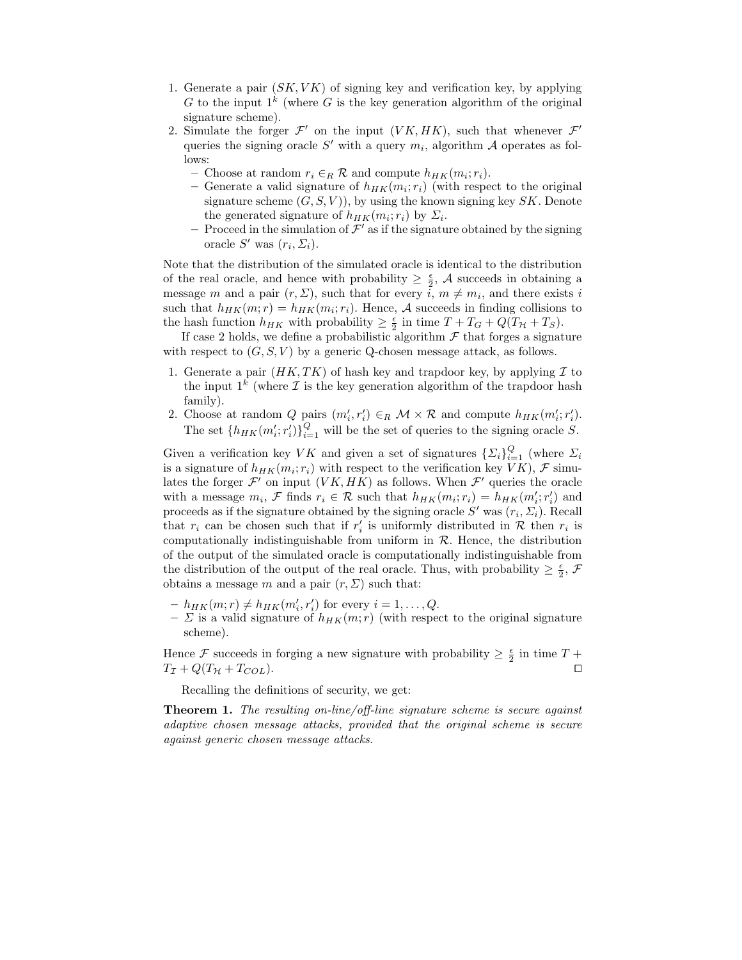- 1. Generate a pair  $(SK, VK)$  of signing key and verification key, by applying G to the input  $1^k$  (where G is the key generation algorithm of the original signature scheme).
- 2. Simulate the forger  $\mathcal{F}'$  on the input  $(VK, HK)$ , such that whenever  $\mathcal{F}'$ queries the signing oracle  $S'$  with a query  $m_i$ , algorithm  $\mathcal A$  operates as follows:
	- Choose at random  $r_i \in_R \mathcal{R}$  and compute  $h_{HK}(m_i; r_i)$ .
	- Generate a valid signature of  $h_{HK}(m_i; r_i)$  (with respect to the original signature scheme  $(G, S, V)$ , by using the known signing key SK. Denote the generated signature of  $h_{HK}(m_i; r_i)$  by  $\Sigma_i$ .
	- Proceed in the simulation of  $\mathcal{F}'$  as if the signature obtained by the signing oracle  $S'$  was  $(r_i, \Sigma_i)$ .

Note that the distribution of the simulated oracle is identical to the distribution of the real oracle, and hence with probability  $\geq \frac{\epsilon}{2}$ , A succeeds in obtaining a message m and a pair  $(r, \Sigma)$ , such that for every i,  $m \neq m_i$ , and there exists i such that  $h_{HK}(m; r) = h_{HK}(m_i; r_i)$ . Hence, A succeeds in finding collisions to the hash function  $h_{HK}$  with probability  $\geq \frac{\epsilon}{2}$  in time  $T + T_G + Q(T_{\mathcal{H}} + T_S)$ .

If case 2 holds, we define a probabilistic algorithm  $\mathcal F$  that forges a signature with respect to  $(G, S, V)$  by a generic Q-chosen message attack, as follows.

- 1. Generate a pair  $(HK, TK)$  of hash key and trapdoor key, by applying  $I$  to the input  $1^k$  (where  $\mathcal I$  is the key generation algorithm of the trapdoor hash family).
- 2. Choose at random Q pairs  $(m'_i, r'_i) \in_R M \times R$  and compute  $h_{HK}(m'_i; r'_i)$ . The set  $\{h_{HK}(m_i'; r_i')\}_{i=1}^Q$  will be the set of queries to the signing oracle S.

Given a verification key VK and given a set of signatures  $\{\Sigma_i\}_{i=1}^Q$  (where  $\Sigma_i$ is a signature of  $h_{HK}(m_i; r_i)$  with respect to the verification key  $VK$ ),  $\mathcal{F}$  simulates the forger  $\mathcal{F}'$  on input  $(VK, HK)$  as follows. When  $\mathcal{F}'$  queries the oracle with a message  $m_i$ ,  $\mathcal F$  finds  $r_i \in \mathcal R$  such that  $h_{HK}(m_i; r_i) = h_{HK}(m'_i; r'_i)$  and proceeds as if the signature obtained by the signing oracle  $S'$  was  $(r_i, \Sigma_i)$ . Recall that  $r_i$  can be chosen such that if  $r'_i$  is uniformly distributed in  $\mathcal R$  then  $r_i$  is computationally indistinguishable from uniform in  $R$ . Hence, the distribution of the output of the simulated oracle is computationally indistinguishable from the distribution of the output of the real oracle. Thus, with probability  $\geq \frac{\epsilon}{2}$ ,  $\mathcal{F}$ obtains a message m and a pair  $(r, \Sigma)$  such that:

- $-h_{HK}(m;r) \neq h_{HK}(m'_{i},r'_{i})$  for every  $i = 1, \ldots, Q$ .
- $\Sigma$  is a valid signature of  $h_{HK}(m; r)$  (with respect to the original signature scheme).

Hence  $\mathcal F$  succeeds in forging a new signature with probability  $\geq \frac{\epsilon}{2}$  in time  $T +$  $T_{\mathcal{I}} + Q(T_{\mathcal{H}} + T_{COL})$ .

Recalling the definitions of security, we get:

**Theorem 1.** The resulting on-line/off-line signature scheme is secure against adaptive chosen message attacks, provided that the original scheme is secure against generic chosen message attacks.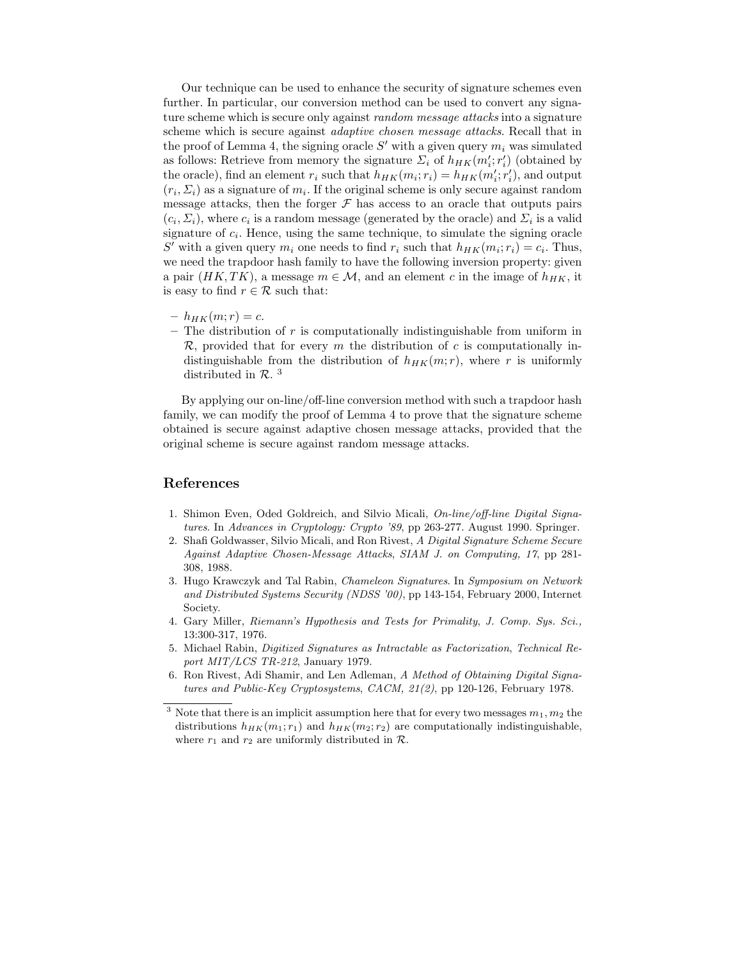Our technique can be used to enhance the security of signature schemes even further. In particular, our conversion method can be used to convert any signature scheme which is secure only against *random message attacks* into a signature scheme which is secure against adaptive chosen message attacks. Recall that in the proof of Lemma 4, the signing oracle  $S'$  with a given query  $m_i$  was simulated as follows: Retrieve from memory the signature  $\Sigma_i$  of  $h_{HK}(m'_i;r'_i)$  (obtained by the oracle), find an element  $r_i$  such that  $h_{HK}(m_i; r_i) = h_{HK}(m_i'; r_i')$ , and output  $(r_i, \Sigma_i)$  as a signature of  $m_i$ . If the original scheme is only secure against random message attacks, then the forger  $\mathcal F$  has access to an oracle that outputs pairs  $(c_i, \Sigma_i)$ , where  $c_i$  is a random message (generated by the oracle) and  $\Sigma_i$  is a valid signature of  $c_i$ . Hence, using the same technique, to simulate the signing oracle S' with a given query  $m_i$  one needs to find  $r_i$  such that  $h_{HK}(m_i; r_i) = c_i$ . Thus, we need the trapdoor hash family to have the following inversion property: given a pair  $(HK, TK)$ , a message  $m \in \mathcal{M}$ , and an element c in the image of  $h_{HK}$ , it is easy to find  $r \in \mathcal{R}$  such that:

- $h_{HK}(m;r) = c.$
- The distribution of  $r$  is computationally indistinguishable from uniform in  $\mathcal{R}$ , provided that for every m the distribution of c is computationally indistinguishable from the distribution of  $h_{HK}(m; r)$ , where r is uniformly distributed in  $\mathcal{R}$ .<sup>3</sup>

By applying our on-line/off-line conversion method with such a trapdoor hash family, we can modify the proof of Lemma 4 to prove that the signature scheme obtained is secure against adaptive chosen message attacks, provided that the original scheme is secure against random message attacks.

### References

- 1. Shimon Even, Oded Goldreich, and Silvio Micali, On-line/off-line Digital Signatures. In Advances in Cryptology: Crypto '89, pp 263-277. August 1990. Springer.
- 2. Shafi Goldwasser, Silvio Micali, and Ron Rivest, A Digital Signature Scheme Secure Against Adaptive Chosen-Message Attacks, SIAM J. on Computing, 17, pp 281- 308, 1988.
- 3. Hugo Krawczyk and Tal Rabin, Chameleon Signatures. In Symposium on Network and Distributed Systems Security (NDSS '00), pp 143-154, February 2000, Internet Society.
- 4. Gary Miller, Riemann's Hypothesis and Tests for Primality, J. Comp. Sys. Sci., 13:300-317, 1976.
- 5. Michael Rabin, Digitized Signatures as Intractable as Factorization, Technical Report MIT/LCS TR-212, January 1979.
- 6. Ron Rivest, Adi Shamir, and Len Adleman, A Method of Obtaining Digital Signatures and Public-Key Cryptosystems, CACM, 21(2), pp 120-126, February 1978.

<sup>&</sup>lt;sup>3</sup> Note that there is an implicit assumption here that for every two messages  $m_1, m_2$  the distributions  $h_{HK}(m_1; r_1)$  and  $h_{HK}(m_2; r_2)$  are computationally indistinguishable, where  $r_1$  and  $r_2$  are uniformly distributed in  $\mathcal{R}$ .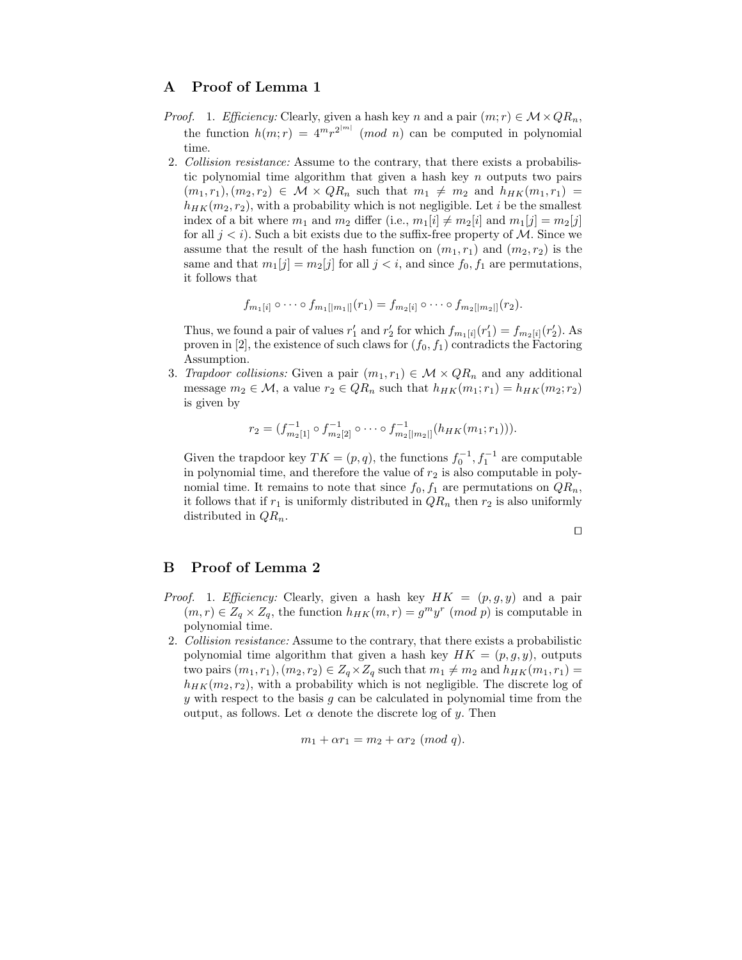## A Proof of Lemma 1

- *Proof.* 1. *Efficiency:* Clearly, given a hash key n and a pair  $(m;r) \in M \times QR_n$ , the function  $h(m;r) = 4^m r^{2^{|m|}}$  (*mod n*) can be computed in polynomial time.
- 2. Collision resistance: Assume to the contrary, that there exists a probabilistic polynomial time algorithm that given a hash key  $n$  outputs two pairs  $(m_1, r_1), (m_2, r_2) \in \mathcal{M} \times QR_n$  such that  $m_1 \neq m_2$  and  $h_{HK}(m_1, r_1) =$  $h_{HK}(m_2, r_2)$ , with a probability which is not negligible. Let i be the smallest index of a bit where  $m_1$  and  $m_2$  differ (i.e.,  $m_1[i] \neq m_2[i]$  and  $m_1[j] = m_2[j]$ for all  $j < i$ ). Such a bit exists due to the suffix-free property of M. Since we assume that the result of the hash function on  $(m_1, r_1)$  and  $(m_2, r_2)$  is the same and that  $m_1[j] = m_2[j]$  for all  $j < i$ , and since  $f_0, f_1$  are permutations, it follows that

$$
f_{m_1[i]} \circ \cdots \circ f_{m_1[|m_1|]}(r_1) = f_{m_2[i]} \circ \cdots \circ f_{m_2[|m_2|]}(r_2).
$$

Thus, we found a pair of values  $r'_1$  and  $r'_2$  for which  $f_{m_1[i]}(r'_1) = f_{m_2[i]}(r'_2)$ . As proven in [2], the existence of such claws for  $(f_0, f_1)$  contradicts the Factoring Assumption.

3. Trapdoor collisions: Given a pair  $(m_1, r_1) \in \mathcal{M} \times QR_n$  and any additional message  $m_2 \in \mathcal{M}$ , a value  $r_2 \in QR_n$  such that  $h_{HK}(m_1; r_1) = h_{HK}(m_2; r_2)$ is given by

$$
r_2 = (f_{m_2[1]}^{-1} \circ f_{m_2[2]}^{-1} \circ \cdots \circ f_{m_2[|m_2|]}^{-1} (h_{HK}(m_1; r_1))).
$$

Given the trapdoor key  $TK = (p, q)$ , the functions  $f_0^{-1}, f_1^{-1}$  are computable in polynomial time, and therefore the value of  $r_2$  is also computable in polynomial time. It remains to note that since  $f_0, f_1$  are permutations on  $QR_n$ , it follows that if  $r_1$  is uniformly distributed in  $QR_n$  then  $r_2$  is also uniformly distributed in  $QR_n$ .

| ۰ | ۰ |  |
|---|---|--|
|   |   |  |
|   |   |  |
|   |   |  |
|   |   |  |

## B Proof of Lemma 2

- *Proof.* 1. Efficiency: Clearly, given a hash key  $HK = (p, q, y)$  and a pair  $(m, r) \in Z_q \times Z_q$ , the function  $h_{HK}(m, r) = g^m y^r \pmod{p}$  is computable in polynomial time.
- 2. Collision resistance: Assume to the contrary, that there exists a probabilistic polynomial time algorithm that given a hash key  $HK = (p, g, y)$ , outputs two pairs  $(m_1, r_1), (m_2, r_2) \in Z_q \times Z_q$  such that  $m_1 \neq m_2$  and  $h_{HK}(m_1, r_1)$  =  $h_{HK}(m_2, r_2)$ , with a probability which is not negligible. The discrete log of  $y$  with respect to the basis  $g$  can be calculated in polynomial time from the output, as follows. Let  $\alpha$  denote the discrete log of y. Then

$$
m_1 + \alpha r_1 = m_2 + \alpha r_2 \ (mod \ q).
$$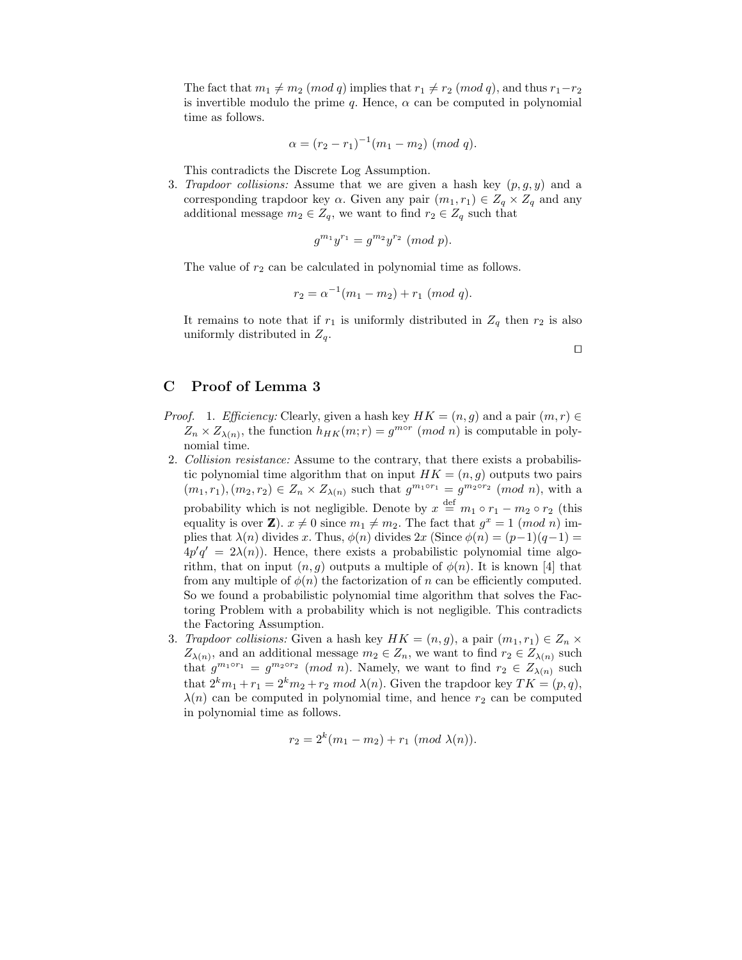The fact that  $m_1 \neq m_2 \pmod{q}$  implies that  $r_1 \neq r_2 \pmod{q}$ , and thus  $r_1-r_2$ is invertible modulo the prime q. Hence,  $\alpha$  can be computed in polynomial time as follows.

$$
\alpha = (r_2 - r_1)^{-1}(m_1 - m_2) \pmod{q}.
$$

This contradicts the Discrete Log Assumption.

3. Trapdoor collisions: Assume that we are given a hash key  $(p, q, y)$  and a corresponding trapdoor key  $\alpha$ . Given any pair  $(m_1, r_1) \in Z_q \times Z_q$  and any additional message  $m_2 \in Z_q$ , we want to find  $r_2 \in Z_q$  such that

$$
g^{m_1}y^{r_1} = g^{m_2}y^{r_2} \pmod{p}.
$$

The value of  $r_2$  can be calculated in polynomial time as follows.

$$
r_2 = \alpha^{-1}(m_1 - m_2) + r_1 \pmod{q}.
$$

It remains to note that if  $r_1$  is uniformly distributed in  $Z_q$  then  $r_2$  is also uniformly distributed in  $Z_q$ .

 $\Box$ 

## C Proof of Lemma 3

- *Proof.* 1. *Efficiency:* Clearly, given a hash key  $HK = (n, g)$  and a pair  $(m, r) \in$  $Z_n \times Z_{\lambda(n)}$ , the function  $h_{HK}(m;r) = g^{m \circ r} \pmod{n}$  is computable in polynomial time.
- 2. Collision resistance: Assume to the contrary, that there exists a probabilistic polynomial time algorithm that on input  $HK = (n, q)$  outputs two pairs  $(m_1, r_1), (m_2, r_2) \in Z_n \times Z_{\lambda(n)}$  such that  $g^{m_1 \circ r_1} = g^{m_2 \circ r_2}$  (mod n), with a probability which is not negligible. Denote by  $x \stackrel{\text{def}}{=} m_1 \circ r_1 - m_2 \circ r_2$  (this equality is over **Z**).  $x \neq 0$  since  $m_1 \neq m_2$ . The fact that  $g^x = 1 \pmod{n}$  implies that  $\lambda(n)$  divides x. Thus,  $\phi(n)$  divides  $2x$  (Since  $\phi(n) = (p-1)(q-1) =$  $4p'q' = 2\lambda(n)$ . Hence, there exists a probabilistic polynomial time algorithm, that on input  $(n, g)$  outputs a multiple of  $\phi(n)$ . It is known [4] that from any multiple of  $\phi(n)$  the factorization of n can be efficiently computed. So we found a probabilistic polynomial time algorithm that solves the Factoring Problem with a probability which is not negligible. This contradicts the Factoring Assumption.
- 3. Trapdoor collisions: Given a hash key  $HK = (n, g)$ , a pair  $(m_1, r_1) \in Z_n \times$  $Z_{\lambda(n)}$ , and an additional message  $m_2 \in Z_n$ , we want to find  $r_2 \in Z_{\lambda(n)}$  such that  $g^{m_1 \circ r_1} = g^{m_2 \circ r_2}$  (mod n). Namely, we want to find  $r_2 \in Z_{\lambda(n)}$  such that  $2^k m_1 + r_1 = 2^k m_2 + r_2 \mod \lambda(n)$ . Given the trapdoor key  $TK = (p, q)$ ,  $\lambda(n)$  can be computed in polynomial time, and hence  $r_2$  can be computed in polynomial time as follows.

$$
r_2 = 2^k(m_1 - m_2) + r_1 \pmod{\lambda(n)}.
$$